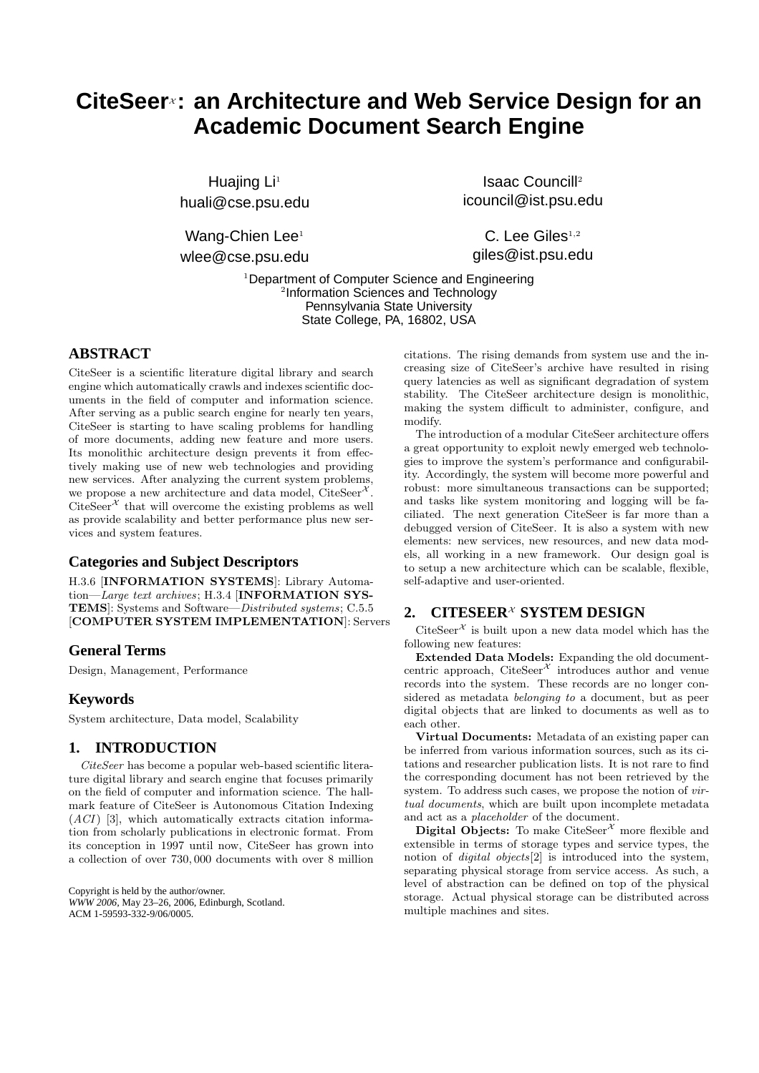# **CiteSeer**<sup>x</sup>: an Architecture and Web Service Design for an **Academic Document Search Engine**

Huajing Li<sup>1</sup> huali@cse.psu.edu

Wang-Chien Lee<sup>1</sup> wlee@cse.psu.edu

Isaac Councill<sup>2</sup> icouncil@ist.psu.edu

 $C.$  Lee Giles $^{1,2}$ giles@ist.psu.edu

<sup>1</sup>Department of Computer Science and Engineering 2 Information Sciences and Technology Pennsylvania State University State College, PA, 16802, USA

## **ABSTRACT**

CiteSeer is a scientific literature digital library and search engine which automatically crawls and indexes scientific documents in the field of computer and information science. After serving as a public search engine for nearly ten years, CiteSeer is starting to have scaling problems for handling of more documents, adding new feature and more users. Its monolithic architecture design prevents it from effectively making use of new web technologies and providing new services. After analyzing the current system problems, we propose a new architecture and data model,  $CiteSer^{\mathcal{X}}$  $\mathrm{CiteSeer}^\mathcal{X}$  that will overcome the existing problems as well as provide scalability and better performance plus new services and system features.

## **Categories and Subject Descriptors**

H.3.6 [INFORMATION SYSTEMS]: Library Automation—Large text archives; H.3.4 [INFORMATION SYS-TEMS]: Systems and Software—Distributed systems; C.5.5 [COMPUTER SYSTEM IMPLEMENTATION]: Servers

#### **General Terms**

Design, Management, Performance

## **Keywords**

System architecture, Data model, Scalability

## **1. INTRODUCTION**

CiteSeer has become a popular web-based scientific literature digital library and search engine that focuses primarily on the field of computer and information science. The hallmark feature of CiteSeer is Autonomous Citation Indexing  $(ACI)$  [3], which automatically extracts citation information from scholarly publications in electronic format. From its conception in 1997 until now, CiteSeer has grown into a collection of over 730, 000 documents with over 8 million

Copyright is held by the author/owner. *WWW 2006,* May 23–26, 2006, Edinburgh, Scotland. ACM 1-59593-332-9/06/0005.

citations. The rising demands from system use and the increasing size of CiteSeer's archive have resulted in rising query latencies as well as significant degradation of system stability. The CiteSeer architecture design is monolithic, making the system difficult to administer, configure, and modify.

The introduction of a modular CiteSeer architecture offers a great opportunity to exploit newly emerged web technologies to improve the system's performance and configurability. Accordingly, the system will become more powerful and robust: more simultaneous transactions can be supported; and tasks like system monitoring and logging will be faciliated. The next generation CiteSeer is far more than a debugged version of CiteSeer. It is also a system with new elements: new services, new resources, and new data models, all working in a new framework. Our design goal is to setup a new architecture which can be scalable, flexible, self-adaptive and user-oriented.

## **2. CITESEER**<sup>x</sup> SYSTEM DESIGN

CiteSeer<sup> $x$ </sup> is built upon a new data model which has the following new features:

Extended Data Models: Expanding the old documentcentric approach,  $CiteSeer^{\mathcal{X}}$  introduces author and venue records into the system. These records are no longer considered as metadata belonging to a document, but as peer digital objects that are linked to documents as well as to each other.

Virtual Documents: Metadata of an existing paper can be inferred from various information sources, such as its citations and researcher publication lists. It is not rare to find the corresponding document has not been retrieved by the system. To address such cases, we propose the notion of *vir*tual documents, which are built upon incomplete metadata and act as a placeholder of the document.

**Digital Objects:** To make CiteSeer<sup> $x$ </sup> more flexible and extensible in terms of storage types and service types, the notion of digital objects[2] is introduced into the system, separating physical storage from service access. As such, a level of abstraction can be defined on top of the physical storage. Actual physical storage can be distributed across multiple machines and sites.